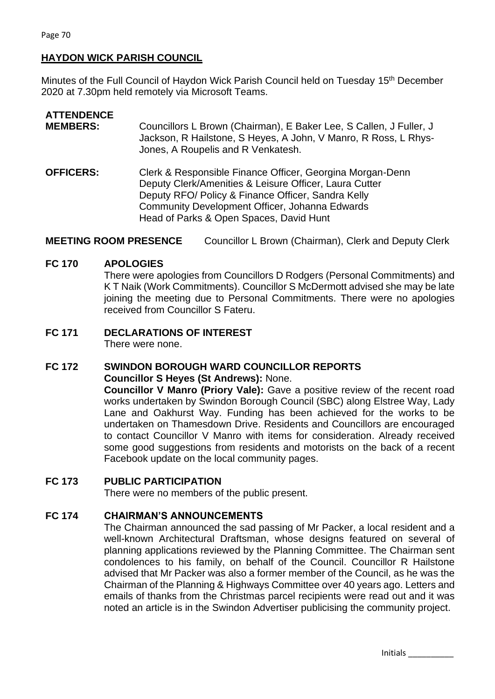## **HAYDON WICK PARISH COUNCIL**

Minutes of the Full Council of Haydon Wick Parish Council held on Tuesday 15th December 2020 at 7.30pm held remotely via Microsoft Teams.

| <b>ATTENDENCE</b><br><b>MEMBERS:</b> | Councillors L Brown (Chairman), E Baker Lee, S Callen, J Fuller, J<br>Jackson, R Hailstone, S Heyes, A John, V Manro, R Ross, L Rhys-<br>Jones, A Roupelis and R Venkatesh.                                                                                            |
|--------------------------------------|------------------------------------------------------------------------------------------------------------------------------------------------------------------------------------------------------------------------------------------------------------------------|
| <b>OFFICERS:</b>                     | Clerk & Responsible Finance Officer, Georgina Morgan-Denn<br>Deputy Clerk/Amenities & Leisure Officer, Laura Cutter<br>Deputy RFO/ Policy & Finance Officer, Sandra Kelly<br>Community Development Officer, Johanna Edwards<br>Head of Parks & Open Spaces, David Hunt |

**MEETING ROOM PRESENCE** Councillor L Brown (Chairman), Clerk and Deputy Clerk

#### **FC 170 APOLOGIES**

There were apologies from Councillors D Rodgers (Personal Commitments) and K T Naik (Work Commitments). Councillor S McDermott advised she may be late joining the meeting due to Personal Commitments. There were no apologies received from Councillor S Fateru.

# **FC 171 DECLARATIONS OF INTEREST**

There were none.

# **FC 172 SWINDON BOROUGH WARD COUNCILLOR REPORTS Councillor S Heyes (St Andrews):** None.

**Councillor V Manro (Priory Vale):** Gave a positive review of the recent road works undertaken by Swindon Borough Council (SBC) along Elstree Way, Lady Lane and Oakhurst Way. Funding has been achieved for the works to be undertaken on Thamesdown Drive. Residents and Councillors are encouraged to contact Councillor V Manro with items for consideration. Already received some good suggestions from residents and motorists on the back of a recent Facebook update on the local community pages.

### **FC 173 PUBLIC PARTICIPATION**

There were no members of the public present.

### **FC 174 CHAIRMAN'S ANNOUNCEMENTS**

The Chairman announced the sad passing of Mr Packer, a local resident and a well-known Architectural Draftsman, whose designs featured on several of planning applications reviewed by the Planning Committee. The Chairman sent condolences to his family, on behalf of the Council. Councillor R Hailstone advised that Mr Packer was also a former member of the Council, as he was the Chairman of the Planning & Highways Committee over 40 years ago. Letters and emails of thanks from the Christmas parcel recipients were read out and it was noted an article is in the Swindon Advertiser publicising the community project.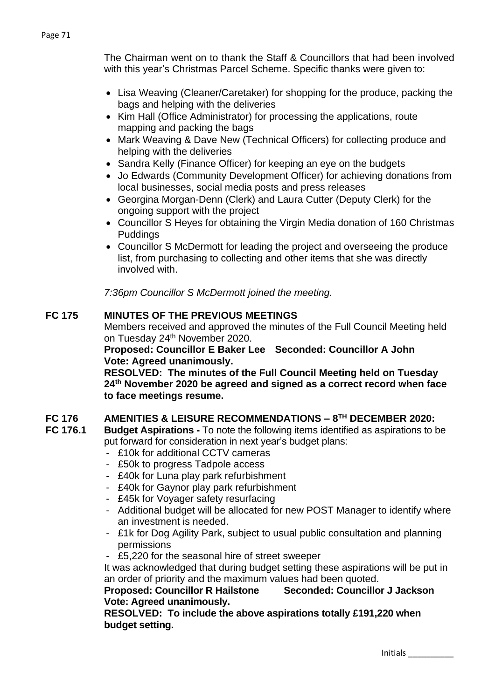The Chairman went on to thank the Staff & Councillors that had been involved with this year's Christmas Parcel Scheme. Specific thanks were given to:

- Lisa Weaving (Cleaner/Caretaker) for shopping for the produce, packing the bags and helping with the deliveries
- Kim Hall (Office Administrator) for processing the applications, route mapping and packing the bags
- Mark Weaving & Dave New (Technical Officers) for collecting produce and helping with the deliveries
- Sandra Kelly (Finance Officer) for keeping an eye on the budgets
- Jo Edwards (Community Development Officer) for achieving donations from local businesses, social media posts and press releases
- Georgina Morgan-Denn (Clerk) and Laura Cutter (Deputy Clerk) for the ongoing support with the project
- Councillor S Heyes for obtaining the Virgin Media donation of 160 Christmas Puddings
- Councillor S McDermott for leading the project and overseeing the produce list, from purchasing to collecting and other items that she was directly involved with.

*7:36pm Councillor S McDermott joined the meeting.*

# **FC 175 MINUTES OF THE PREVIOUS MEETINGS**

Members received and approved the minutes of the Full Council Meeting held on Tuesday 24<sup>th</sup> November 2020.

**Proposed: Councillor E Baker Lee Seconded: Councillor A John Vote: Agreed unanimously.**

**RESOLVED: The minutes of the Full Council Meeting held on Tuesday 24th November 2020 be agreed and signed as a correct record when face to face meetings resume.** 

# **FC 176 AMENITIES & LEISURE RECOMMENDATIONS – 8 TH DECEMBER 2020:**

- **FC 176.1 Budget Aspirations -** To note the following items identified as aspirations to be put forward for consideration in next year's budget plans:
	- £10k for additional CCTV cameras
	- £50k to progress Tadpole access
	- £40k for Luna play park refurbishment
	- £40k for Gaynor play park refurbishment
	- £45k for Voyager safety resurfacing
	- Additional budget will be allocated for new POST Manager to identify where an investment is needed.
	- £1k for Dog Agility Park, subject to usual public consultation and planning permissions
	- £5,220 for the seasonal hire of street sweeper

It was acknowledged that during budget setting these aspirations will be put in an order of priority and the maximum values had been quoted.

### **Proposed: Councillor R Hailstone Seconded: Councillor J Jackson Vote: Agreed unanimously.**

**RESOLVED: To include the above aspirations totally £191,220 when budget setting.**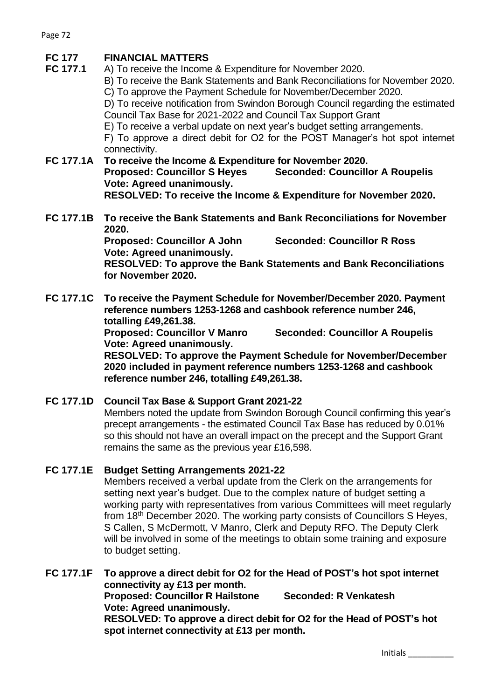# **FC 177 FINANCIAL MATTERS**

**FC 177.1** A) To receive the Income & Expenditure for November 2020.

B) To receive the Bank Statements and Bank Reconciliations for November 2020. C) To approve the Payment Schedule for November/December 2020.

D) To receive notification from Swindon Borough Council regarding the estimated Council Tax Base for 2021-2022 and Council Tax Support Grant

E) To receive a verbal update on next year's budget setting arrangements.

F) To approve a direct debit for O2 for the POST Manager's hot spot internet connectivity.

**FC 177.1A To receive the Income & Expenditure for November 2020. Proposed: Councillor S Heyes Seconded: Councillor A Roupelis Vote: Agreed unanimously. RESOLVED: To receive the Income & Expenditure for November 2020.**

**FC 177.1B To receive the Bank Statements and Bank Reconciliations for November 2020.** 

**Proposed: Councillor A John Seconded: Councillor R Ross Vote: Agreed unanimously.**

**RESOLVED: To approve the Bank Statements and Bank Reconciliations for November 2020.**

**FC 177.1C To receive the Payment Schedule for November/December 2020. Payment reference numbers 1253-1268 and cashbook reference number 246, totalling £49,261.38.**

**Proposed: Councillor V Manro Seconded: Councillor A Roupelis Vote: Agreed unanimously.** 

**RESOLVED: To approve the Payment Schedule for November/December 2020 included in payment reference numbers 1253-1268 and cashbook reference number 246, totalling £49,261.38.**

# **FC 177.1D Council Tax Base & Support Grant 2021-22**

Members noted the update from Swindon Borough Council confirming this year's precept arrangements - the estimated Council Tax Base has reduced by 0.01% so this should not have an overall impact on the precept and the Support Grant remains the same as the previous year £16,598.

### **FC 177.1E Budget Setting Arrangements 2021-22**

Members received a verbal update from the Clerk on the arrangements for setting next year's budget. Due to the complex nature of budget setting a working party with representatives from various Committees will meet regularly from 18th December 2020. The working party consists of Councillors S Heyes, S Callen, S McDermott, V Manro, Clerk and Deputy RFO. The Deputy Clerk will be involved in some of the meetings to obtain some training and exposure to budget setting.

**FC 177.1F To approve a direct debit for O2 for the Head of POST's hot spot internet connectivity ay £13 per month. Proposed: Councillor R Hailstone Seconded: R Venkatesh Vote: Agreed unanimously.** 

**RESOLVED: To approve a direct debit for O2 for the Head of POST's hot spot internet connectivity at £13 per month.**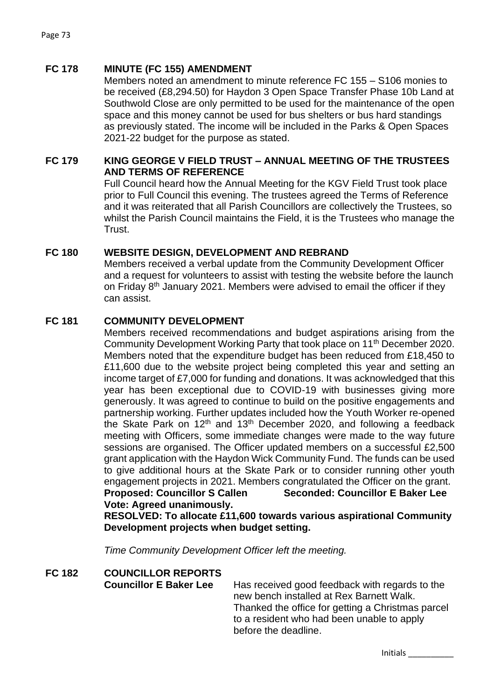### **FC 178 MINUTE (FC 155) AMENDMENT**

Members noted an amendment to minute reference FC 155 – S106 monies to be received (£8,294.50) for Haydon 3 Open Space Transfer Phase 10b Land at Southwold Close are only permitted to be used for the maintenance of the open space and this money cannot be used for bus shelters or bus hard standings as previously stated. The income will be included in the Parks & Open Spaces 2021-22 budget for the purpose as stated.

### **FC 179 KING GEORGE V FIELD TRUST – ANNUAL MEETING OF THE TRUSTEES AND TERMS OF REFERENCE**

Full Council heard how the Annual Meeting for the KGV Field Trust took place prior to Full Council this evening. The trustees agreed the Terms of Reference and it was reiterated that all Parish Councillors are collectively the Trustees, so whilst the Parish Council maintains the Field, it is the Trustees who manage the Trust.

### **FC 180 WEBSITE DESIGN, DEVELOPMENT AND REBRAND**

Members received a verbal update from the Community Development Officer and a request for volunteers to assist with testing the website before the launch on Friday 8<sup>th</sup> January 2021. Members were advised to email the officer if they can assist.

### **FC 181 COMMUNITY DEVELOPMENT**

Members received recommendations and budget aspirations arising from the Community Development Working Party that took place on 11<sup>th</sup> December 2020. Members noted that the expenditure budget has been reduced from £18,450 to £11,600 due to the website project being completed this year and setting an income target of £7,000 for funding and donations. It was acknowledged that this year has been exceptional due to COVID-19 with businesses giving more generously. It was agreed to continue to build on the positive engagements and partnership working. Further updates included how the Youth Worker re-opened the Skate Park on  $12<sup>th</sup>$  and  $13<sup>th</sup>$  December 2020, and following a feedback meeting with Officers, some immediate changes were made to the way future sessions are organised. The Officer updated members on a successful £2,500 grant application with the Haydon Wick Community Fund. The funds can be used to give additional hours at the Skate Park or to consider running other youth engagement projects in 2021. Members congratulated the Officer on the grant. **Proposed: Councillor S Callen Seconded: Councillor E Baker Lee Vote: Agreed unanimously.**

**RESOLVED: To allocate £11,600 towards various aspirational Community Development projects when budget setting.** 

*Time Community Development Officer left the meeting.*

# **FC 182 COUNCILLOR REPORTS**

**Councillor E Baker Lee** Has received good feedback with regards to the new bench installed at Rex Barnett Walk. Thanked the office for getting a Christmas parcel to a resident who had been unable to apply before the deadline.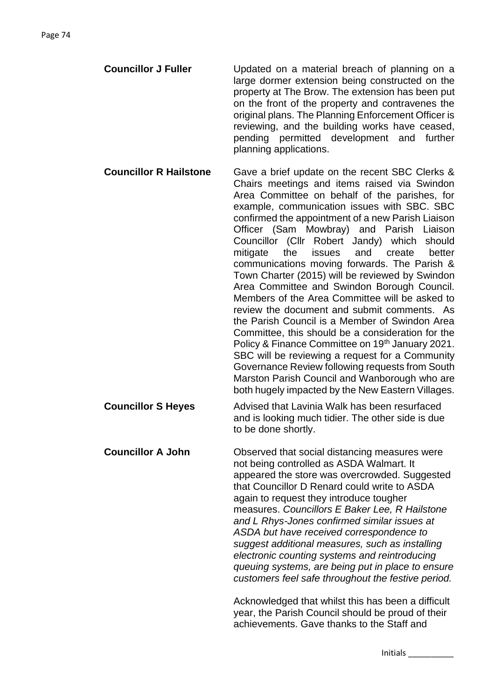**Councillor J Fuller** Updated on a material breach of planning on a large dormer extension being constructed on the property at The Brow. The extension has been put on the front of the property and contravenes the original plans. The Planning Enforcement Officer is reviewing, and the building works have ceased, pending permitted development and further planning applications.

**Councillor R Hailstone** Gave a brief update on the recent SBC Clerks & Chairs meetings and items raised via Swindon Area Committee on behalf of the parishes, for example, communication issues with SBC. SBC confirmed the appointment of a new Parish Liaison Officer (Sam Mowbray) and Parish Liaison Councillor (Cllr Robert Jandy) which should mitigate the issues and create better communications moving forwards. The Parish & Town Charter (2015) will be reviewed by Swindon Area Committee and Swindon Borough Council. Members of the Area Committee will be asked to review the document and submit comments. As the Parish Council is a Member of Swindon Area Committee, this should be a consideration for the Policy & Finance Committee on 19<sup>th</sup> January 2021. SBC will be reviewing a request for a Community Governance Review following requests from South Marston Parish Council and Wanborough who are both hugely impacted by the New Eastern Villages.

**Councillor S Heves** Advised that Lavinia Walk has been resurfaced and is looking much tidier. The other side is due to be done shortly.

**Councillor A John** Observed that social distancing measures were not being controlled as ASDA Walmart. It appeared the store was overcrowded. Suggested that Councillor D Renard could write to ASDA again to request they introduce tougher measures. *Councillors E Baker Lee, R Hailstone and L Rhys-Jones confirmed similar issues at ASDA but have received correspondence to suggest additional measures, such as installing electronic counting systems and reintroducing queuing systems, are being put in place to ensure customers feel safe throughout the festive period.*

> Acknowledged that whilst this has been a difficult year, the Parish Council should be proud of their achievements. Gave thanks to the Staff and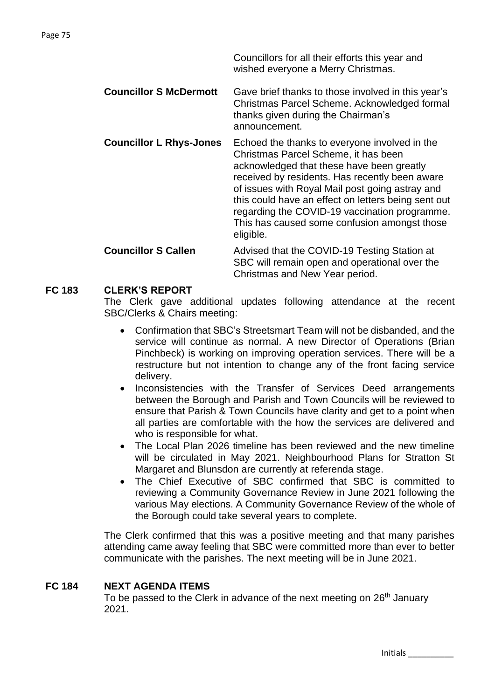Councillors for all their efforts this year and wished everyone a Merry Christmas.

- **Councillor S McDermott** Gave brief thanks to those involved in this year's Christmas Parcel Scheme. Acknowledged formal thanks given during the Chairman's announcement.
- **Councillor L Rhys-Jones** Echoed the thanks to everyone involved in the Christmas Parcel Scheme, it has been acknowledged that these have been greatly received by residents. Has recently been aware of issues with Royal Mail post going astray and this could have an effect on letters being sent out regarding the COVID-19 vaccination programme. This has caused some confusion amongst those eligible.

### **Councillor S Callen** Advised that the COVID-19 Testing Station at SBC will remain open and operational over the Christmas and New Year period.

# **FC 183 CLERK'S REPORT**

The Clerk gave additional updates following attendance at the recent SBC/Clerks & Chairs meeting:

- Confirmation that SBC's Streetsmart Team will not be disbanded, and the service will continue as normal. A new Director of Operations (Brian Pinchbeck) is working on improving operation services. There will be a restructure but not intention to change any of the front facing service delivery.
- Inconsistencies with the Transfer of Services Deed arrangements between the Borough and Parish and Town Councils will be reviewed to ensure that Parish & Town Councils have clarity and get to a point when all parties are comfortable with the how the services are delivered and who is responsible for what.
- The Local Plan 2026 timeline has been reviewed and the new timeline will be circulated in May 2021. Neighbourhood Plans for Stratton St Margaret and Blunsdon are currently at referenda stage.
- The Chief Executive of SBC confirmed that SBC is committed to reviewing a Community Governance Review in June 2021 following the various May elections. A Community Governance Review of the whole of the Borough could take several years to complete.

The Clerk confirmed that this was a positive meeting and that many parishes attending came away feeling that SBC were committed more than ever to better communicate with the parishes. The next meeting will be in June 2021.

# **FC 184 NEXT AGENDA ITEMS**

To be passed to the Clerk in advance of the next meeting on 26<sup>th</sup> January 2021.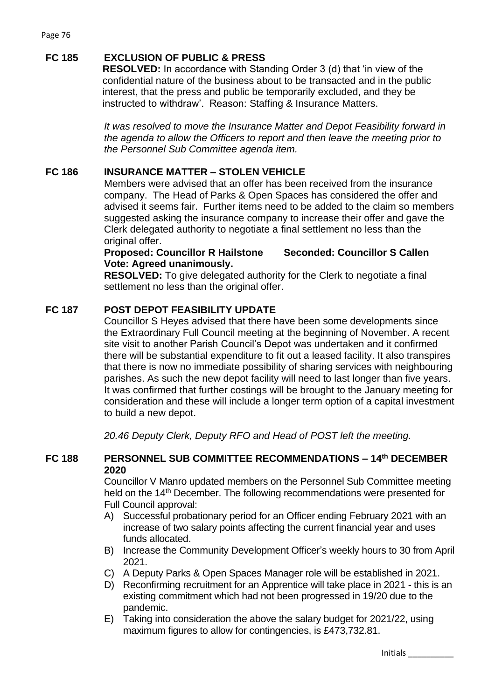# **FC 185 EXCLUSION OF PUBLIC & PRESS**

**RESOLVED:** In accordance with Standing Order 3 (d) that 'in view of the confidential nature of the business about to be transacted and in the public interest, that the press and public be temporarily excluded, and they be instructed to withdraw'. Reason: Staffing & Insurance Matters.

*It was resolved to move the Insurance Matter and Depot Feasibility forward in the agenda to allow the Officers to report and then leave the meeting prior to the Personnel Sub Committee agenda item.* 

## **FC 186 INSURANCE MATTER – STOLEN VEHICLE**

Members were advised that an offer has been received from the insurance company. The Head of Parks & Open Spaces has considered the offer and advised it seems fair. Further items need to be added to the claim so members suggested asking the insurance company to increase their offer and gave the Clerk delegated authority to negotiate a final settlement no less than the original offer.

### **Proposed: Councillor R Hailstone Seconded: Councillor S Callen Vote: Agreed unanimously.**

**RESOLVED:** To give delegated authority for the Clerk to negotiate a final settlement no less than the original offer.

### **FC 187 POST DEPOT FEASIBILITY UPDATE**

Councillor S Heyes advised that there have been some developments since the Extraordinary Full Council meeting at the beginning of November. A recent site visit to another Parish Council's Depot was undertaken and it confirmed there will be substantial expenditure to fit out a leased facility. It also transpires that there is now no immediate possibility of sharing services with neighbouring parishes. As such the new depot facility will need to last longer than five years. It was confirmed that further costings will be brought to the January meeting for consideration and these will include a longer term option of a capital investment to build a new depot.

*20.46 Deputy Clerk, Deputy RFO and Head of POST left the meeting.*

### **FC 188 PERSONNEL SUB COMMITTEE RECOMMENDATIONS – 14th DECEMBER 2020**

Councillor V Manro updated members on the Personnel Sub Committee meeting held on the 14<sup>th</sup> December. The following recommendations were presented for Full Council approval:

- A) Successful probationary period for an Officer ending February 2021 with an increase of two salary points affecting the current financial year and uses funds allocated.
- B) Increase the Community Development Officer's weekly hours to 30 from April 2021.
- C) A Deputy Parks & Open Spaces Manager role will be established in 2021.
- D) Reconfirming recruitment for an Apprentice will take place in 2021 this is an existing commitment which had not been progressed in 19/20 due to the pandemic.
- E) Taking into consideration the above the salary budget for 2021/22, using maximum figures to allow for contingencies, is £473,732.81.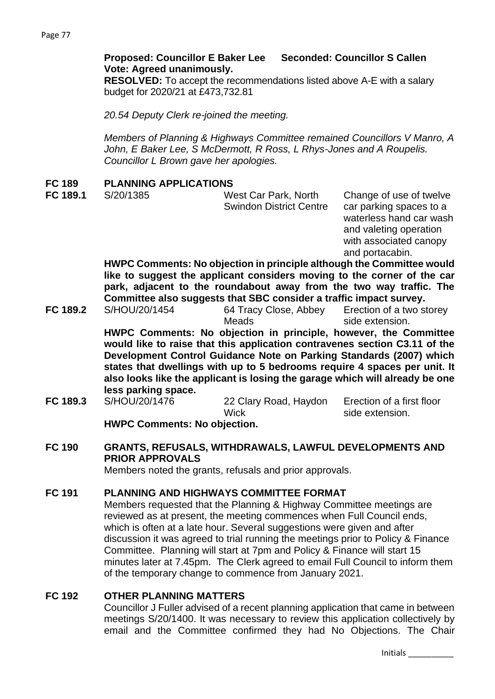## **Proposed: Councillor E Baker Lee Seconded: Councillor S Callen Vote: Agreed unanimously.**

**RESOLVED:** To accept the recommendations listed above A-E with a salary budget for 2020/21 at £473,732.81

*20.54 Deputy Clerk re-joined the meeting.* 

*Members of Planning & Highways Committee remained Councillors V Manro, A John, E Baker Lee, S McDermott, R Ross, L Rhys-Jones and A Roupelis. Councillor L Brown gave her apologies.* 

### **FC 189 PLANNING APPLICATIONS**

| FC 189.1 | S/20/1385 | West Car Park, North           | Change of use of twelve |
|----------|-----------|--------------------------------|-------------------------|
|          |           | <b>Swindon District Centre</b> | car parking spaces to a |
|          |           |                                | waterless hand car wash |

waterless hand car wash and valeting operation with associated canopy and portacabin.

**HWPC Comments: No objection in principle although the Committee would like to suggest the applicant considers moving to the corner of the car park, adjacent to the roundabout away from the two way traffic. The Committee also suggests that SBC consider a traffic impact survey.**

**FC 189.2** S/HOU/20/1454 64 Tracy Close, Abbey Meads Erection of a two storey side extension.

**HWPC Comments: No objection in principle, however, the Committee would like to raise that this application contravenes section C3.11 of the Development Control Guidance Note on Parking Standards (2007) which states that dwellings with up to 5 bedrooms require 4 spaces per unit. It also looks like the applicant is losing the garage which will already be one less parking space.**

**FC 189.3** S/HOU/20/1476 22 Clary Road, Haydon **Wick** Erection of a first floor side extension. **HWPC Comments: No objection.** 

# **FC 190 GRANTS, REFUSALS, WITHDRAWALS, LAWFUL DEVELOPMENTS AND PRIOR APPROVALS**

Members noted the grants, refusals and prior approvals.

### **FC 191 PLANNING AND HIGHWAYS COMMITTEE FORMAT**

Members requested that the Planning & Highway Committee meetings are reviewed as at present, the meeting commences when Full Council ends, which is often at a late hour. Several suggestions were given and after discussion it was agreed to trial running the meetings prior to Policy & Finance Committee. Planning will start at 7pm and Policy & Finance will start 15 minutes later at 7.45pm. The Clerk agreed to email Full Council to inform them of the temporary change to commence from January 2021.

### **FC 192 OTHER PLANNING MATTERS**

Councillor J Fuller advised of a recent planning application that came in between meetings S/20/1400. It was necessary to review this application collectively by email and the Committee confirmed they had No Objections. The Chair